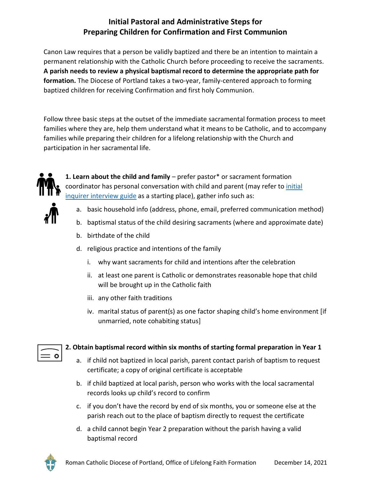## **Initial Pastoral and Administrative Steps for Preparing Children for Confirmation and First Communion**

Canon Law requires that a person be validly baptized and there be an intention to maintain a permanent relationship with the Catholic Church before proceeding to receive the sacraments. **A parish needs to review a physical baptismal record to determine the appropriate path for formation.** The Diocese of Portland takes a two-year, family-centered approach to forming baptized children for receiving Confirmation and first holy Communion.

Follow three basic steps at the outset of the immediate sacramental formation process to meet families where they are, help them understand what it means to be Catholic, and to accompany families while preparing their children for a lifelong relationship with the Church and participation in her sacramental life.



**1. Learn about the child and family** – prefer pastor\* or sacrament formation coordinator has personal conversation with child and parent (may refer to [initial](https://portlanddiocese.org/sites/default/files/files/Child_Teen_RCIA_Intake_Questions_Nov2021.pdf)  inquirer [interview guide](https://portlanddiocese.org/sites/default/files/files/Child_Teen_RCIA_Intake_Questions_Nov2021.pdf) as a starting place), gather info such as:

- a. basic household info (address, phone, email, preferred communication method)
- b. baptismal status of the child desiring sacraments (where and approximate date)
- b. birthdate of the child
- d. religious practice and intentions of the family
	- i. why want sacraments for child and intentions after the celebration
	- ii. at least one parent is Catholic or demonstrates reasonable hope that child will be brought up in the Catholic faith
	- iii. any other faith traditions
	- iv. marital status of parent(s) as one factor shaping child's home environment [if unmarried, note cohabiting status]

## **2. Obtain baptismal record within six months of starting formal preparation in Year 1**

- a. if child not baptized in local parish, parent contact parish of baptism to request certificate; a copy of original certificate is acceptable
- b. if child baptized at local parish, person who works with the local sacramental records looks up child's record to confirm
- c. if you don't have the record by end of six months, you or someone else at the parish reach out to the place of baptism directly to request the certificate
- d. a child cannot begin Year 2 preparation without the parish having a valid baptismal record



 $=$   $\circ$